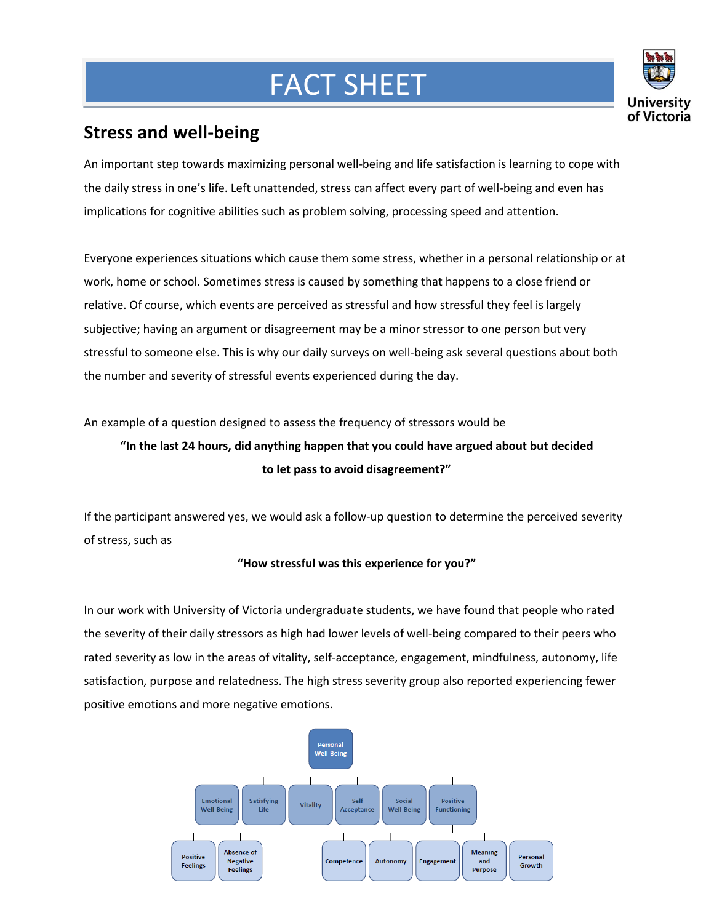## FACT SHEET



## **Stress and well-being**

**Mar**

An important step towards maximizing personal well-being and life satisfaction is learning to cope with the daily stress in one's life. Left unattended, stress can affect every part of well-being and even has implications for cognitive abilities such as problem solving, processing speed and attention.

Everyone experiences situations which cause them some stress, whether in a personal relationship or at work, home or school. Sometimes stress is caused by something that happens to a close friend or relative. Of course, which events are perceived as stressful and how stressful they feel is largely subjective; having an argument or disagreement may be a minor stressor to one person but very stressful to someone else. This is why our daily surveys on well-being ask several questions about both the number and severity of stressful events experienced during the day.

An example of a question designed to assess the frequency of stressors would be

## **"In the last 24 hours, did anything happen that you could have argued about but decided to let pass to avoid disagreement?"**

If the participant answered yes, we would ask a follow-up question to determine the perceived severity of stress, such as

## **"How stressful was this experience for you?"**

In our work with University of Victoria undergraduate students, we have found that people who rated the severity of their daily stressors as high had lower levels of well-being compared to their peers who rated severity as low in the areas of vitality, self-acceptance, engagement, mindfulness, autonomy, life satisfaction, purpose and relatedness. The high stress severity group also reported experiencing fewer positive emotions and more negative emotions.

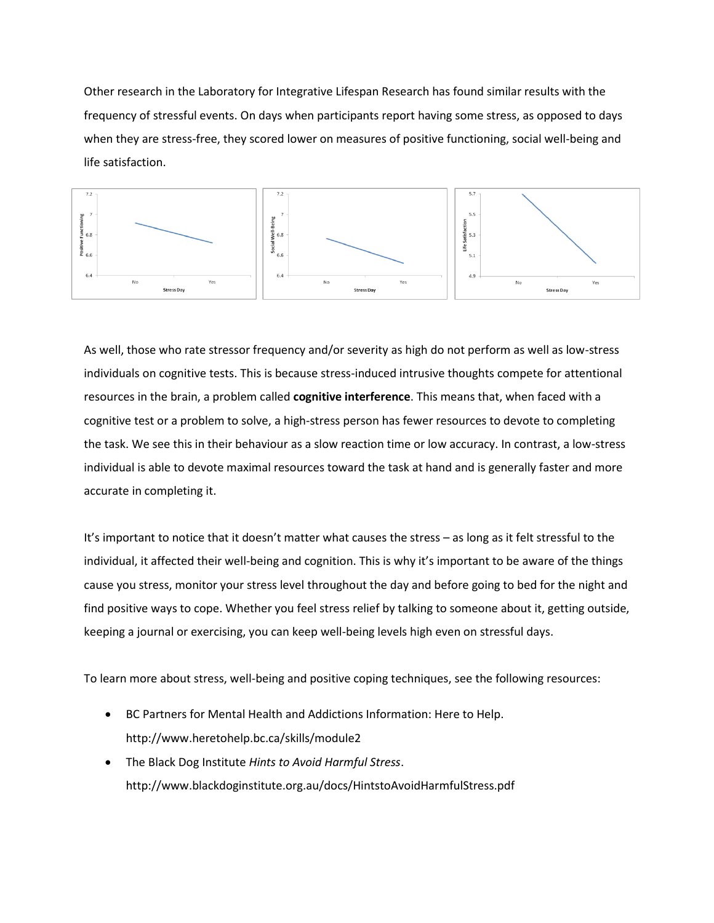Other research in the Laboratory for Integrative Lifespan Research has found similar results with the frequency of stressful events. On days when participants report having some stress, as opposed to days when they are stress-free, they scored lower on measures of positive functioning, social well-being and life satisfaction.



As well, those who rate stressor frequency and/or severity as high do not perform as well as low-stress individuals on cognitive tests. This is because stress-induced intrusive thoughts compete for attentional resources in the brain, a problem called **cognitive interference**. This means that, when faced with a cognitive test or a problem to solve, a high-stress person has fewer resources to devote to completing the task. We see this in their behaviour as a slow reaction time or low accuracy. In contrast, a low-stress individual is able to devote maximal resources toward the task at hand and is generally faster and more accurate in completing it.

It's important to notice that it doesn't matter what causes the stress – as long as it felt stressful to the individual, it affected their well-being and cognition. This is why it's important to be aware of the things cause you stress, monitor your stress level throughout the day and before going to bed for the night and find positive ways to cope. Whether you feel stress relief by talking to someone about it, getting outside, keeping a journal or exercising, you can keep well-being levels high even on stressful days.

To learn more about stress, well-being and positive coping techniques, see the following resources:

- BC Partners for Mental Health and Addictions Information: Here to Help. http://www.heretohelp.bc.ca/skills/module2
- The Black Dog Institute *Hints to Avoid Harmful Stress*. http://www.blackdoginstitute.org.au/docs/HintstoAvoidHarmfulStress.pdf